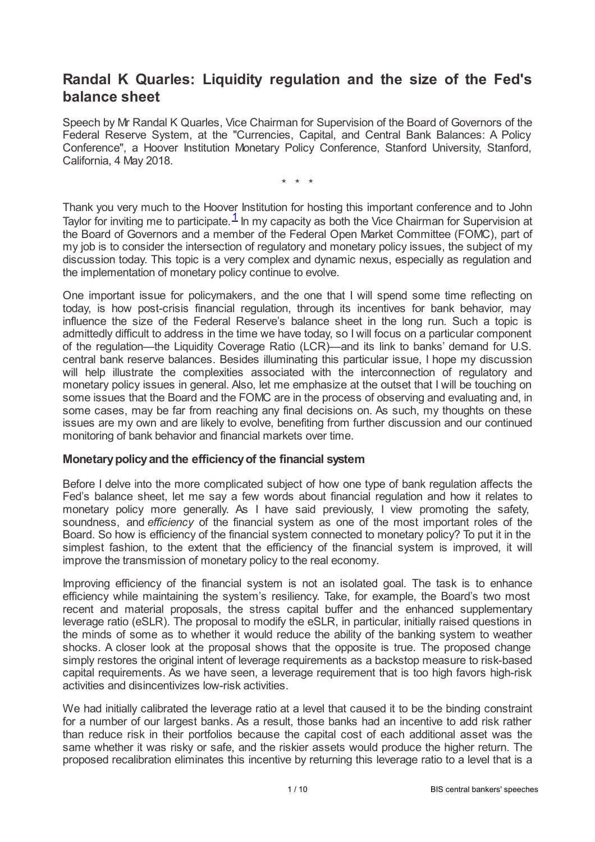## **Randal K Quarles: Liquidity regulation and the size of the Fed's balance sheet**

Speech by Mr Randal K Quarles, Vice Chairman for Supervision of the Board of Governors of the Federal Reserve System, at the "Currencies, Capital, and Central Bank Balances: A Policy Conference", a Hoover Institution Monetary Policy Conference, Stanford University, Stanford, California, 4 May 2018.

<span id="page-0-0"></span>\* \* \*

Thank you very much to the Hoover Institution for hosting this important conference and to John Taylor for inviting me to participate. $\frac{1}{1}$  $\frac{1}{1}$  $\frac{1}{1}$  In my capacity as both the Vice Chairman for Supervision at the Board of Governors and a member of the Federal Open Market Committee (FOMC), part of my job is to consider the intersection of regulatory and monetary policy issues, the subject of my discussion today. This topic is a very complex and dynamic nexus, especially as regulation and the implementation of monetary policy continue to evolve.

One important issue for policymakers, and the one that I will spend some time reflecting on today, is how post-crisis financial regulation, through its incentives for bank behavior, may influence the size of the Federal Reserve's balance sheet in the long run. Such a topic is admittedly difficult to address in the time we have today, so I will focus on a particular component of the regulation—the Liquidity Coverage Ratio (LCR)—and its link to banks' demand for U.S. central bank reserve balances. Besides illuminating this particular issue, I hope my discussion will help illustrate the complexities associated with the interconnection of regulatory and monetary policy issues in general. Also, let me emphasize at the outset that I will be touching on some issues that the Board and the FOMC are in the process of observing and evaluating and, in some cases, may be far from reaching any final decisions on. As such, my thoughts on these issues are my own and are likely to evolve, benefiting from further discussion and our continued monitoring of bank behavior and financial markets over time.

#### **Monetarypolicyand the efficiencyof the financial system**

Before I delve into the more complicated subject of how one type of bank regulation affects the Fed's balance sheet, let me say a few words about financial regulation and how it relates to monetary policy more generally. As I have said previously, I view promoting the safety, soundness, and *efficiency* of the financial system as one of the most important roles of the Board. So how is efficiency of the financial system connected to monetary policy? To put it in the simplest fashion, to the extent that the efficiency of the financial system is improved, it will improve the transmission of monetary policy to the real economy.

Improving efficiency of the financial system is not an isolated goal. The task is to enhance efficiency while maintaining the system's resiliency. Take, for example, the Board's two most recent and material proposals, the stress capital buffer and the enhanced supplementary leverage ratio (eSLR). The proposal to modify the eSLR, in particular, initially raised questions in the minds of some as to whether it would reduce the ability of the banking system to weather shocks. A closer look at the proposal shows that the opposite is true. The proposed change simply restores the original intent of leverage requirements as a backstop measure to risk-based capital requirements. As we have seen, a leverage requirement that is too high favors high-risk activities and disincentivizes low-risk activities.

We had initially calibrated the leverage ratio at a level that caused it to be the binding constraint for a number of our largest banks. As a result, those banks had an incentive to add risk rather than reduce risk in their portfolios because the capital cost of each additional asset was the same whether it was risky or safe, and the riskier assets would produce the higher return. The proposed recalibration eliminates this incentive by returning this leverage ratio to a level that is a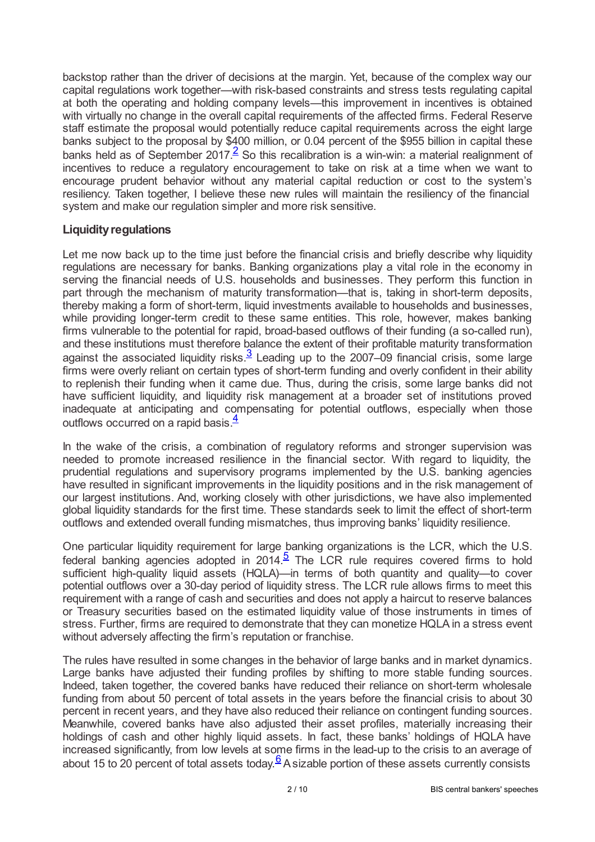backstop rather than the driver of decisions at the margin. Yet, because of the complex way our capital regulations work together—with risk-based constraints and stress tests regulating capital at both the operating and holding company levels—this improvement in incentives is obtained with virtually no change in the overall capital requirements of the affected firms. Federal Reserve staff estimate the proposal would potentially reduce capital requirements across the eight large banks subject to the proposal by \$400 million, or 0.04 percent of the \$955 billion in capital these banks held as of September [2](#page-8-1)017.<sup>2</sup> So this recalibration is a win-win: a material realignment of incentives to reduce a regulatory encouragement to take on risk at a time when we want to encourage prudent behavior without any material capital reduction or cost to the system's resiliency. Taken together, I believe these new rules will maintain the resiliency of the financial system and make our regulation simpler and more risk sensitive.

### <span id="page-1-0"></span>**Liquidityregulations**

Let me now back up to the time just before the financial crisis and briefly describe why liquidity regulations are necessary for banks. Banking organizations play a vital role in the economy in serving the financial needs of U.S. households and businesses. They perform this function in part through the mechanism of maturity transformation—that is, taking in short-term deposits, thereby making a form of short-term, liquid investments available to households and businesses, while providing longer-term credit to these same entities. This role, however, makes banking firms vulnerable to the potential for rapid, broad-based outflows of their funding (a so-called run). and these institutions must therefore balance the extent of their profitable maturity transformation against the associated liquidity risks. $\frac{3}{3}$  $\frac{3}{3}$  $\frac{3}{3}$  Leading up to the 2007–09 financial crisis, some large firms were overly reliant on certain types of short-term funding and overly confident in their ability to replenish their funding when it came due. Thus, during the crisis, some large banks did not have sufficient liquidity, and liquidity risk management at a broader set of institutions proved inadequate at anticipating and compensating for potential outflows, especially when those outflows occurred on a rapid basis. $\frac{4}{3}$  $\frac{4}{3}$  $\frac{4}{3}$ 

<span id="page-1-2"></span><span id="page-1-1"></span>In the wake of the crisis, a combination of regulatory reforms and stronger supervision was needed to promote increased resilience in the financial sector. With regard to liquidity, the prudential regulations and supervisory programs implemented by the U.S. banking agencies have resulted in significant improvements in the liquidity positions and in the risk management of our largest institutions. And, working closely with other jurisdictions, we have also implemented global liquidity standards for the first time. These standards seek to limit the effect of short-term outflows and extended overall funding mismatches, thus improving banks' liquidity resilience.

<span id="page-1-3"></span>One particular liquidity requirement for large banking organizations is the LCR, which the U.S. federal banking agencies adopted in 2014.<sup>2</sup> The LCR rule requires covered firms to hold sufficient high-quality liquid assets (HQLA)—in terms of both quantity and quality—to cover potential outflows over a 30-day period of liquidity stress. The LCR rule allows firms to meet this requirement with a range of cash and securities and does not apply a haircut to reserve balances or Treasury securities based on the estimated liquidity value of those instruments in times of stress. Further, firms are required to demonstrate that they can monetize HQLA in a stress event without adversely affecting the firm's reputation or franchise. [5](#page-8-4)

<span id="page-1-4"></span>The rules have resulted in some changes in the behavior of large banks and in market dynamics. Large banks have adjusted their funding profiles by shifting to more stable funding sources. Indeed, taken together, the covered banks have reduced their reliance on short-term wholesale funding from about 50 percent of total assets in the years before the financial crisis to about 30 percent in recent years, and they have also reduced their reliance on contingent funding sources. Meanwhile, covered banks have also adjusted their asset profiles, materially increasing their holdings of cash and other highly liquid assets. In fact, these banks' holdings of HQLA have increased significantly, from low levels at some firms in the lead-up to the crisis to an average of about 15 to 20 percent of total assets today.  $6$  A sizable portion of these assets currently consists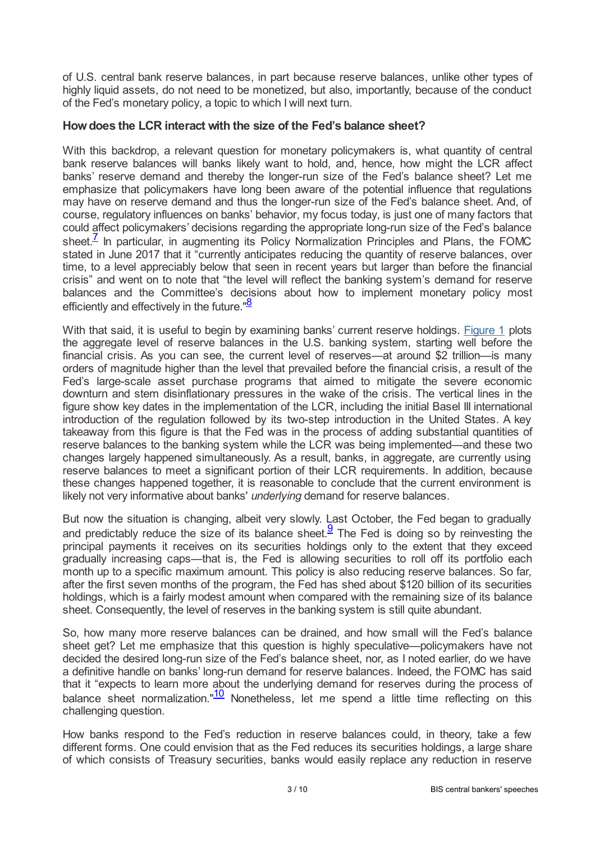of U.S. central bank reserve balances, in part because reserve balances, unlike other types of highly liquid assets, do not need to be monetized, but also, importantly, because of the conduct of the Fed's monetary policy, a topic to which I will next turn.

#### **Howdoes the LCR interact with the size of the Fed's balance sheet?**

With this backdrop, a relevant question for monetary policymakers is, what quantity of central bank reserve balances will banks likely want to hold, and, hence, how might the LCR affect banks' reserve demand and thereby the longer-run size of the Fed's balance sheet? Let me emphasize that policymakers have long been aware of the potential influence that regulations may have on reserve demand and thus the longer-run size of the Fed's balance sheet. And, of course, regulatory influences on banks' behavior, my focus today, is just one of many factors that could affect policymakers' decisions regarding the appropriate long-run size of the Fed's balance sheet. $\frac{7}{1}$  $\frac{7}{1}$  $\frac{7}{1}$  In particular, in augmenting its Policy Normalization Principles and Plans, the FOMC stated in June 2017 that it "currently anticipates reducing the quantity of reserve balances, over time, to a level appreciably below that seen in recent years but larger than before the financial crisis" and went on to note that "the level will reflect the banking system's demand for reserve balances and the Committee's decisions about how to implement monetary policy most efficiently and effectively in the future."<sup>[8](#page-9-0)</sup>

<span id="page-2-1"></span><span id="page-2-0"></span>With that said, it is useful to begin by examining banks' current reserve holdings. [Figure](www.federalreserve.gov/images/quarles20180504a1.png) 1 plots the aggregate level of reserve balances in the U.S. banking system, starting well before the financial crisis. As you can see, the current level of reserves—at around \$2 trillion—is many orders of magnitude higher than the level that prevailed before the financial crisis, a result of the Fed's large-scale asset purchase programs that aimed to mitigate the severe economic downturn and stem disinflationary pressures in the wake of the crisis. The vertical lines in the figure show key dates in the implementation of the LCR, including the initial Basel III international introduction of the regulation followed by its two-step introduction in the United States. A key takeaway from this figure is that the Fed was in the process of adding substantial quantities of reserve balances to the banking system while the LCR was being implemented—and these two changes largely happened simultaneously. As a result, banks, in aggregate, are currently using reserve balances to meet a significant portion of their LCR requirements. In addition, because these changes happened together, it is reasonable to conclude that the current environment is likely not very informative about banks' *underlying* demand for reserve balances.

<span id="page-2-2"></span>But now the situation is changing, albeit very slowly. Last October, the Fed began to gradually and predictably reduce the size of its balance sheet.<sup>[9](#page-9-1)</sup> The Fed is doing so by reinvesting the principal payments it receives on its securities holdings only to the extent that they exceed gradually increasing caps—that is, the Fed is allowing securities to roll off its portfolio each month up to a specific maximum amount. This policy is also reducing reserve balances. So far, after the first seven months of the program, the Fed has shed about \$120 billion of its securities holdings, which is a fairly modest amount when compared with the remaining size of its balance sheet. Consequently, the level of reserves in the banking system is still quite abundant.

So, how many more reserve balances can be drained, and how small will the Fed's balance sheet get? Let me emphasize that this question is highly speculative—policymakers have not decided the desired long-run size of the Fed's balance sheet, nor, as I noted earlier, do we have a definitive handle on banks' long-run demand for reserve balances. Indeed, the FOMC has said that it "expects to learn more about the underlying demand for reserves during the process of balance sheet normalization." $\frac{10}{10}$  $\frac{10}{10}$  $\frac{10}{10}$  Nonetheless, let me spend a little time reflecting on this challenging question.

<span id="page-2-3"></span>How banks respond to the Fed's reduction in reserve balances could, in theory, take a few different forms. One could envision that as the Fed reduces its securities holdings, a large share of which consists of Treasury securities, banks would easily replace any reduction in reserve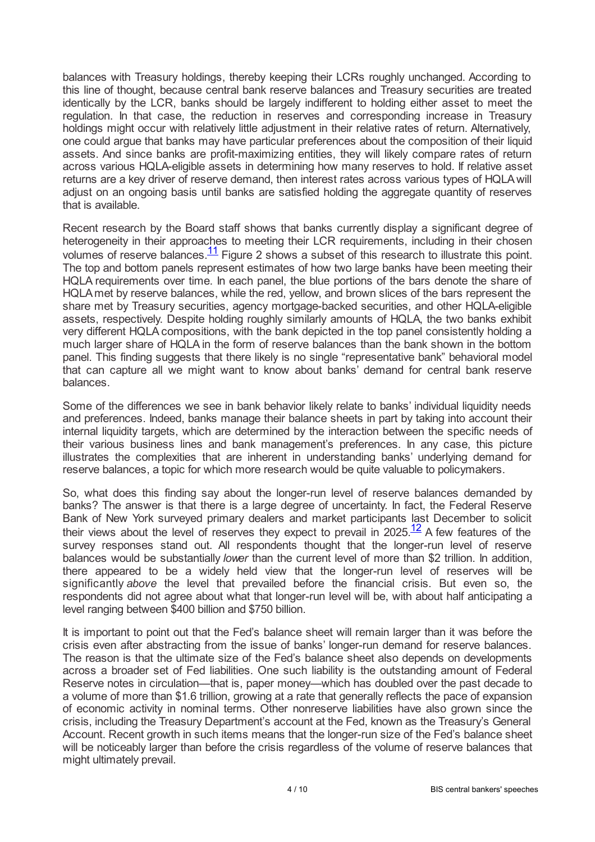balances with Treasury holdings, thereby keeping their LCRs roughly unchanged. According to this line of thought, because central bank reserve balances and Treasury securities are treated identically by the LCR, banks should be largely indifferent to holding either asset to meet the regulation. In that case, the reduction in reserves and corresponding increase in Treasury holdings might occur with relatively little adjustment in their relative rates of return. Alternatively, one could argue that banks may have particular preferences about the composition of their liquid assets. And since banks are profit-maximizing entities, they will likely compare rates of return across various HQLA-eligible assets in determining how many reserves to hold. If relative asset returns are a key driver of reserve demand, then interest rates across various types of HQLAwill adjust on an ongoing basis until banks are satisfied holding the aggregate quantity of reserves that is available.

<span id="page-3-0"></span>Recent research by the Board staff shows that banks currently display a significant degree of heterogeneity in their approaches to meeting their LCR requirements, including in their chosen volumes of reserve balances. $\frac{11}{1}$  $\frac{11}{1}$  $\frac{11}{1}$  Figure 2 shows a subset of this research to illustrate this point. The top and bottom panels represent estimates of how two large banks have been meeting their HQLA requirements over time. In each panel, the blue portions of the bars denote the share of HQLAmet by reserve balances, while the red, yellow, and brown slices of the bars represent the share met by Treasury securities, agency mortgage-backed securities, and other HQLA-eligible assets, respectively. Despite holding roughly similarly amounts of HQLA, the two banks exhibit very different HQLA compositions, with the bank depicted in the top panel consistently holding a much larger share of HQLA in the form of reserve balances than the bank shown in the bottom panel. This finding suggests that there likely is no single "representative bank" behavioral model that can capture all we might want to know about banks' demand for central bank reserve balances.

Some of the differences we see in bank behavior likely relate to banks' individual liquidity needs and preferences. Indeed, banks manage their balance sheets in part by taking into account their internal liquidity targets, which are determined by the interaction between the specific needs of their various business lines and bank management's preferences. In any case, this picture illustrates the complexities that are inherent in understanding banks' underlying demand for reserve balances, a topic for which more research would be quite valuable to policymakers.

<span id="page-3-1"></span>So, what does this finding say about the longer-run level of reserve balances demanded by banks? The answer is that there is a large degree of uncertainty. In fact, the Federal Reserve Bank of New York surveyed primary dealers and market participants last December to solicit their views about the level of reserves they expect to prevail in  $2025 \frac{12}{12}$  $2025 \frac{12}{12}$  $2025 \frac{12}{12}$  A few features of the survey responses stand out. All respondents thought that the longer-run level of reserve balances would be substantially *lower* than the current level of more than \$2 trillion. In addition, there appeared to be a widely held view that the longer-run level of reserves will be significantly *above* the level that prevailed before the financial crisis. But even so, the respondents did not agree about what that longer-run level will be, with about half anticipating a level ranging between \$400 billion and \$750 billion.

It is important to point out that the Fed's balance sheet will remain larger than it was before the crisis even after abstracting from the issue of banks' longer-run demand for reserve balances. The reason is that the ultimate size of the Fed's balance sheet also depends on developments across a broader set of Fed liabilities. One such liability is the outstanding amount of Federal Reserve notes in circulation—that is, paper money—which has doubled over the past decade to a volume of more than \$1.6 trillion, growing at a rate that generally reflects the pace of expansion of economic activity in nominal terms. Other nonreserve liabilities have also grown since the crisis, including the Treasury Department's account at the Fed, known as the Treasury's General Account. Recent growth in such items means that the longer-run size of the Fed's balance sheet will be noticeably larger than before the crisis regardless of the volume of reserve balances that might ultimately prevail.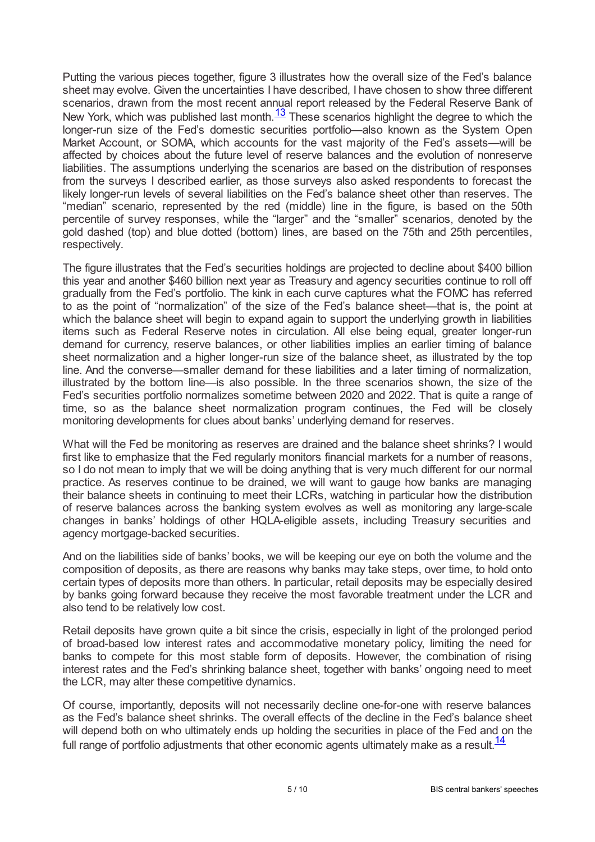<span id="page-4-0"></span>Putting the various pieces together, figure 3 illustrates how the overall size of the Fed's balance sheet may evolve. Given the uncertainties I have described, I have chosen to show three different scenarios, drawn from the most recent annual report released by the Federal Reserve Bank of New York, which was published last month. $\frac{13}{13}$  $\frac{13}{13}$  $\frac{13}{13}$  These scenarios highlight the degree to which the longer-run size of the Fed's domestic securities portfolio—also known as the System Open Market Account, or SOMA, which accounts for the vast majority of the Fed's assets—will be affected by choices about the future level of reserve balances and the evolution of nonreserve liabilities. The assumptions underlying the scenarios are based on the distribution of responses from the surveys I described earlier, as those surveys also asked respondents to forecast the likely longer-run levels of several liabilities on the Fed's balance sheet other than reserves. The "median" scenario, represented by the red (middle) line in the figure, is based on the 50th percentile of survey responses, while the "larger" and the "smaller" scenarios, denoted by the gold dashed (top) and blue dotted (bottom) lines, are based on the 75th and 25th percentiles, respectively.

The figure illustrates that the Fed's securities holdings are projected to decline about \$400 billion this year and another \$460 billion next year as Treasury and agency securities continue to roll off gradually from the Fed's portfolio. The kink in each curve captures what the FOMC has referred to as the point of "normalization" of the size of the Fed's balance sheet—that is, the point at which the balance sheet will begin to expand again to support the underlying growth in liabilities items such as Federal Reserve notes in circulation. All else being equal, greater longer-run demand for currency, reserve balances, or other liabilities implies an earlier timing of balance sheet normalization and a higher longer-run size of the balance sheet, as illustrated by the top line. And the converse—smaller demand for these liabilities and a later timing of normalization, illustrated by the bottom line—is also possible. In the three scenarios shown, the size of the Fed's securities portfolio normalizes sometime between 2020 and 2022. That is quite a range of time, so as the balance sheet normalization program continues, the Fed will be closely monitoring developments for clues about banks' underlying demand for reserves.

What will the Fed be monitoring as reserves are drained and the balance sheet shrinks? I would first like to emphasize that the Fed regularly monitors financial markets for a number of reasons, so I do not mean to imply that we will be doing anything that is very much different for our normal practice. As reserves continue to be drained, we will want to gauge how banks are managing their balance sheets in continuing to meet their LCRs, watching in particular how the distribution of reserve balances across the banking system evolves as well as monitoring any large-scale changes in banks' holdings of other HQLA-eligible assets, including Treasury securities and agency mortgage-backed securities.

And on the liabilities side of banks' books, we will be keeping our eye on both the volume and the composition of deposits, as there are reasons why banks may take steps, over time, to hold onto certain types of deposits more than others. In particular, retail deposits may be especially desired by banks going forward because they receive the most favorable treatment under the LCR and also tend to be relatively low cost.

Retail deposits have grown quite a bit since the crisis, especially in light of the prolonged period of broad-based low interest rates and accommodative monetary policy, limiting the need for banks to compete for this most stable form of deposits. However, the combination of rising interest rates and the Fed's shrinking balance sheet, together with banks' ongoing need to meet the LCR, may alter these competitive dynamics.

<span id="page-4-1"></span>Of course, importantly, deposits will not necessarily decline one-for-one with reserve balances as the Fed's balance sheet shrinks. The overall effects of the decline in the Fed's balance sheet will depend both on who ultimately ends up holding the securities in place of the Fed and on the full range of portfolio adjustments that other economic agents ultimately make as a result.  $\frac{14}{1}$  $\frac{14}{1}$  $\frac{14}{1}$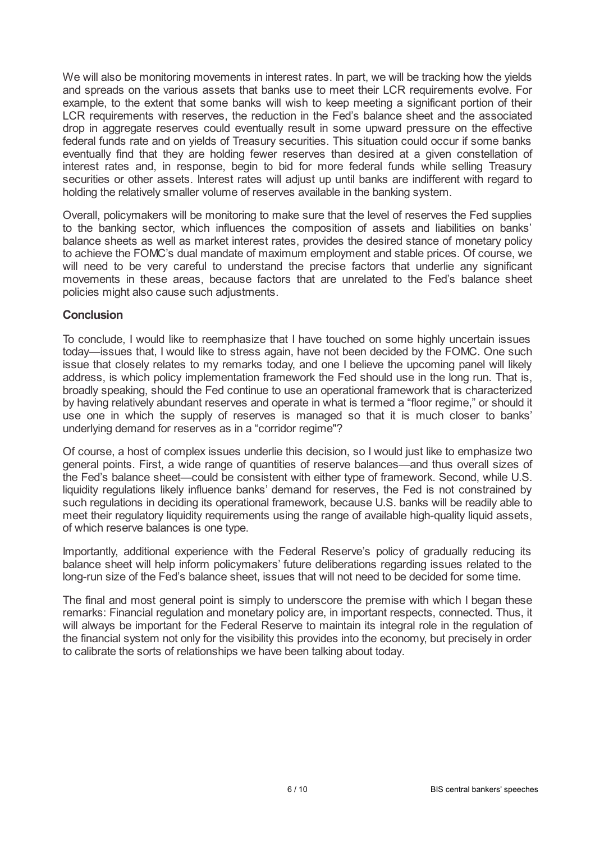We will also be monitoring movements in interest rates. In part, we will be tracking how the yields and spreads on the various assets that banks use to meet their LCR requirements evolve. For example, to the extent that some banks will wish to keep meeting a significant portion of their LCR requirements with reserves, the reduction in the Fed's balance sheet and the associated drop in aggregate reserves could eventually result in some upward pressure on the effective federal funds rate and on yields of Treasury securities. This situation could occur if some banks eventually find that they are holding fewer reserves than desired at a given constellation of interest rates and, in response, begin to bid for more federal funds while selling Treasury securities or other assets. Interest rates will adjust up until banks are indifferent with regard to holding the relatively smaller volume of reserves available in the banking system.

Overall, policymakers will be monitoring to make sure that the level of reserves the Fed supplies to the banking sector, which influences the composition of assets and liabilities on banks' balance sheets as well as market interest rates, provides the desired stance of monetary policy to achieve the FOMC's dual mandate of maximum employment and stable prices. Of course, we will need to be very careful to understand the precise factors that underlie any significant movements in these areas, because factors that are unrelated to the Fed's balance sheet policies might also cause such adjustments.

#### **Conclusion**

To conclude, I would like to reemphasize that I have touched on some highly uncertain issues today—issues that, I would like to stress again, have not been decided by the FOMC. One such issue that closely relates to my remarks today, and one I believe the upcoming panel will likely address, is which policy implementation framework the Fed should use in the long run. That is, broadly speaking, should the Fed continue to use an operational framework that is characterized by having relatively abundant reserves and operate in what is termed a "floor regime," or should it use one in which the supply of reserves is managed so that it is much closer to banks' underlying demand for reserves as in a "corridor regime"?

Of course, a host of complex issues underlie this decision, so I would just like to emphasize two general points. First, a wide range of quantities of reserve balances—and thus overall sizes of the Fed's balance sheet—could be consistent with either type of framework. Second, while U.S. liquidity regulations likely influence banks' demand for reserves, the Fed is not constrained by such regulations in deciding its operational framework, because U.S. banks will be readily able to meet their regulatory liquidity requirements using the range of available high-quality liquid assets, of which reserve balances is one type.

Importantly, additional experience with the Federal Reserve's policy of gradually reducing its balance sheet will help inform policymakers' future deliberations regarding issues related to the long-run size of the Fed's balance sheet, issues that will not need to be decided for some time.

The final and most general point is simply to underscore the premise with which I began these remarks: Financial regulation and monetary policy are, in important respects, connected. Thus, it will always be important for the Federal Reserve to maintain its integral role in the regulation of the financial system not only for the visibility this provides into the economy, but precisely in order to calibrate the sorts of relationships we have been talking about today.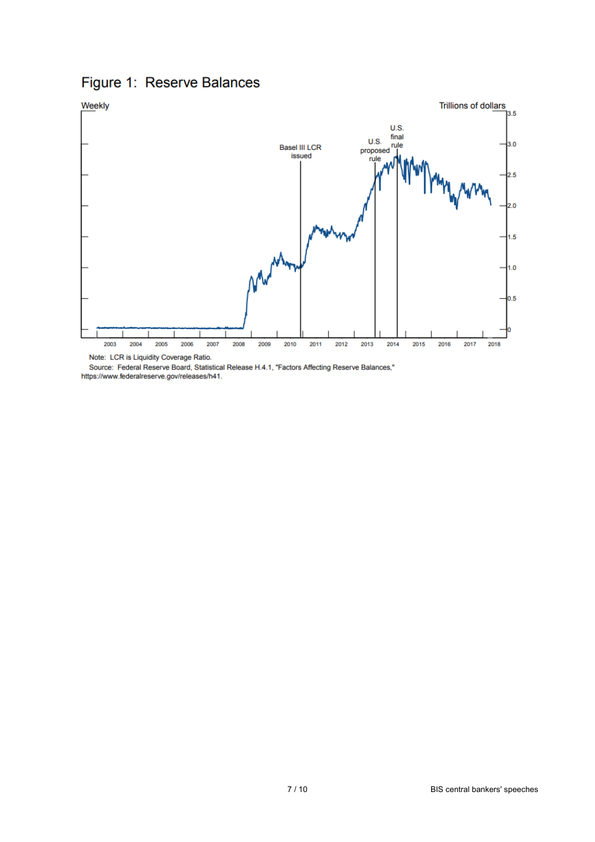# Figure 1: Reserve Balances



Note: LCR is Liquidity Coverage Ratio.

Source: Federal Reserve Board, Statistical Release H.4.1, "Factors Affecting Reserve Balances," https://www.federalreserve.gov/releases/h41.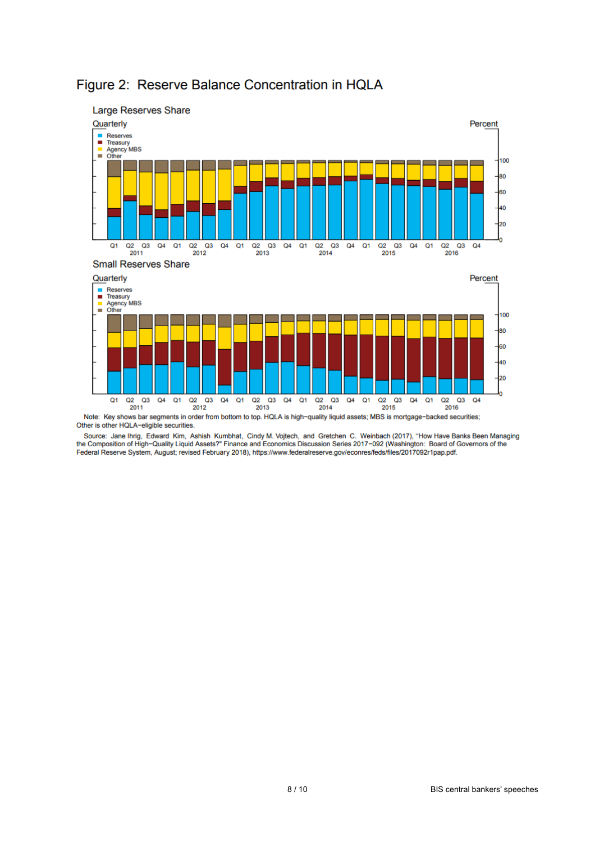

## Figure 2: Reserve Balance Concentration in HQLA

Note: Key shows bar segments in order from bottom to top. HQLA is high-quality liquid assets; MBS is mortgage-backed securities;<br>Other is other HQLA-eligible securities.

Source: Jane Ihrig, Edward Kim, Ashish Kumbhat, Cindy M. Vojtech, and Gretchen C. Weinbach (2017), "How Have Banks Been Managing<br>the Composition of High-Quality Liquid Assets?" Finance and Economics Discussion Series 2017-Federal Reserve System, August; revised February 2018), https://www.federalreserve.gov/econres/feds/files/2017092r1pap.pdf.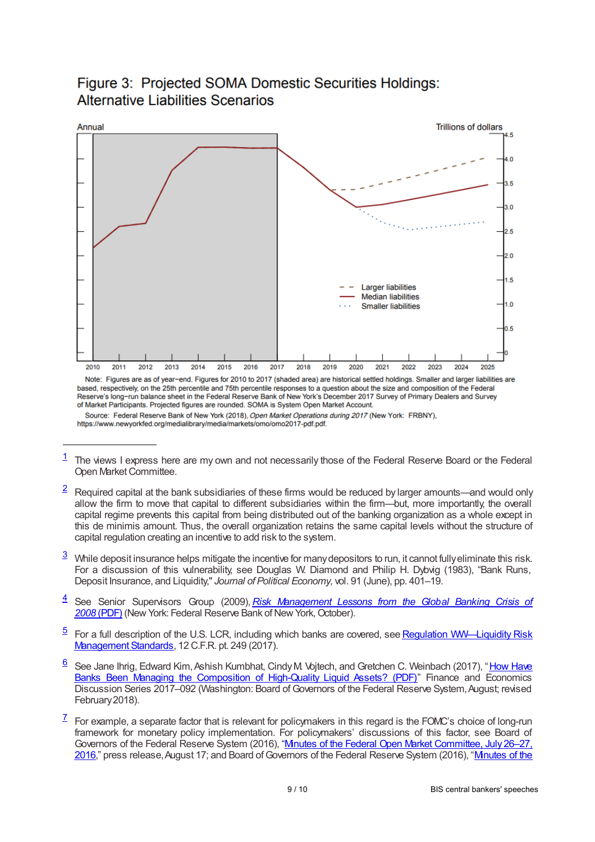



Note: Figures are as of year-end. Figures for 2010 to 2017 (shaded area) are historical settled holdings. Smaller and larger liabilities are based, respectively, on the 25th percentile and 75th percentile responses to a question about the size and composition of the Federal Reserve's long-run balance sheet in the Federal Reserve Bank of New York's December 2017 Survey of Primary Dealers and Survey of Market Participants. Projected figures are rounded. SOMA is System Open Market Account.

Source: Federal Reserve Bank of New York (2018), Open Market Operations during 2017 (New York: FRBNY), https://www.newyorkfed.org/medialibrary/media/markets/omo/omo2017-pdf.pdf.

- <span id="page-8-0"></span>The views I express here are my own and not necessarily those of the Federal Reserve Board or the Federal Open Market Committee. [1](#page-0-0)
- <span id="page-8-1"></span>Required capital at the bank subsidiaries of these firms would be reduced by larger amounts—and would only allow the firm to move that capital to different subsidiaries within the firm—but, more importantly, the overall capital regime prevents this capital from being distributed out of the banking organization as a whole except in this de minimis amount. Thus, the overall organization retains the same capital levels without the structure of capital regulation creating an incentive to add risk to the system. [2](#page-1-0)
- <span id="page-8-2"></span>While deposit insurance helps mitigate the incentive for manydepositors to run, it cannot fullyeliminate this risk. For a discussion of this vulnerability, see Douglas W. Diamond and Philip H. Dybvig (1983), "Bank Runs, Deposit Insurance, and Liquidity," *Journal of Political Economy,* vol. 91 (June), pp. 401–19. [3](#page-1-1)
- <span id="page-8-3"></span>See Senior Supervisors Group (2009),*Risk Management Lessons from the Global Banking Crisis of* 2008 (PDF) (New York: Federal Reserve Bank of New York, October). [4](#page-1-2)
- <span id="page-8-4"></span>For a full description of the U.S. LCR, including which banks are covered, see Regulation [WW—Liquidity](www.gpo.gov/fdsys/granule/CFR-2017-title12-vol4/CFR-2017-title12-vol4-part249) Risk Management Standards, 12 C.F.R. pt. 249 (2017). [5](#page-1-3)
- <span id="page-8-5"></span>See Jane Ihrig, Edward Kim, Ashish Kumbhat, Cindy M. Vojtech, and Gretchen C. Weinbach (2017), "How Have Banks Been Managing the [Composition](www.federalreserve.gov/econres/feds/files/2017092r1pap.pdf) of High-Quality Liquid Assets? (PDF)" Finance and Economics Discussion Series 2017–092 (Washington: Board of Governors of the Federal Reserve System, August; revised February2018). [6](#page-1-4)
- <span id="page-8-6"></span> $\frac{7}{1}$  $\frac{7}{1}$  $\frac{7}{1}$  For example, a separate factor that is relevant for policymakers in this regard is the FOMC's choice of long-run framework for monetary policy implementation. For policymakers' discussions of this factor, see Board of Governors of the Federal Reserve System (2016), "Minutes of the Federal Open Market Committee, July 26–27, 2016," press release, August 17; and Board of Governors of the Federal Reserve System (2016), "Mnutes of the